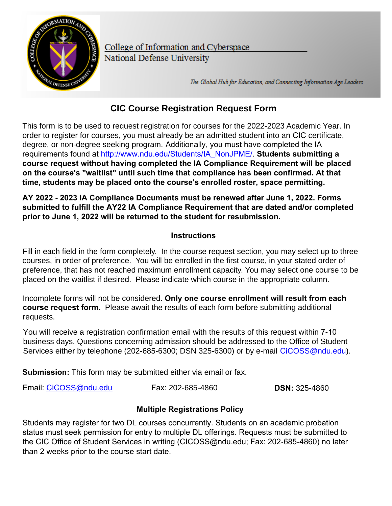

College of Information and Cyberspace National Defense University

The Global Hub for Education, and Connecting Information Age Leaders

## **CIC Course Registration Request Form**

This form is to be used to request registration for courses for the 2022-2023 Academic Year. In order to register for courses, you must already be an admitted student into an CIC certificate, degree, or non-degree seeking program. Additionally, you must have completed the IA requirements found at http://www.[ndu.edu/Students/IA\\_NonJPME/](http://www.ndu.edu/Students/IA_NonJPME/). **Students submitting a course request without having completed the IA Compliance Requirement will be placed on the course's "waitlist" until such time that compliance has been confirmed. At that time, students may be placed onto the course's enrolled roster, space permitting.**

**AY 2022 - 2023 IA Compliance Documents must be renewed after June 1, 2022. Forms submitted to fulfill the AY22 IA Compliance Requirement that are dated and/or completed prior to June 1, 2022 will be returned to the student for resubmission.**

## **Instructions**

Fill in each field in the form completely. In the course request section, you may select up to three courses, in order of preference. You will be enrolled in the first course, in your stated order of preference, that has not reached maximum enrollment capacity. You may select one course to be placed on the waitlist if desired. Please indicate which course in the appropriate column.

Incomp[lete forms will not be con](mailto:iCollegeOSS@ndu.edu)sidered. **Only one course [enrollment will result from](mailto:iCollegeOSS@ndu.edu) each course request form.** Please await the results of each form before submitting additional requests.

You will receive a registration confirmation email with the results of this request within 7-10 business days. Questions concerning admission should be addressed to the Office of Student Services either by telephone (202-685-6300; DSN 325-6300) or by e-mail CiCOSS@ndu.edu).

**Submission:** This form may be submitted either via email or fax.

Email: CiCOSS@ndu.edu Fax: 202-685-4860 **DSN:** 325-4860

## **Multiple Registrations Policy**

Students may register for two DL courses concurrently. Students on an academic probation status must seek permission for entry to multiple DL offerings. Requests must be submitted to the CIC Office of Student Services in writing (CICOSS@ndu.edu; Fax: 202‐685‐4860) no later than 2 weeks prior to the course start date.